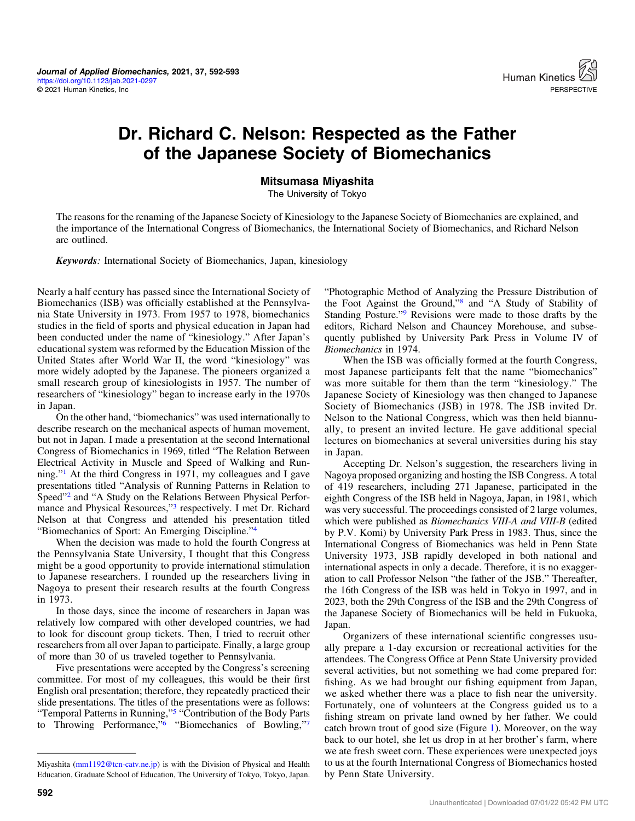

## Dr. Richard C. Nelson: Respected as the Father of the Japanese Society of Biomechanics

## Mitsumasa Miyashita

The University of Tokyo

The reasons for the renaming of the Japanese Society of Kinesiology to the Japanese Society of Biomechanics are explained, and the importance of the International Congress of Biomechanics, the International Society of Biomechanics, and Richard Nelson are outlined.

Keywords: International Society of Biomechanics, Japan, kinesiology

Nearly a half century has passed since the International Society of Biomechanics (ISB) was officially established at the Pennsylvania State University in 1973. From 1957 to 1978, biomechanics studies in the field of sports and physical education in Japan had been conducted under the name of "kinesiology." After Japan's educational system was reformed by the Education Mission of the United States after World War II, the word "kinesiology" was more widely adopted by the Japanese. The pioneers organized a small research group of kinesiologists in 1957. The number of researchers of "kinesiology" began to increase early in the 1970s in Japan.

On the other hand, "biomechanics" was used internationally to describe research on the mechanical aspects of human movement, but not in Japan. I made a presentation at the second International Congress of Biomechanics in 1969, titled "The Relation Between Electrical Activity in Muscle and Speed of Walking and Running."[1](#page-1-0) At the third Congress in 1971, my colleagues and I gave presentations titled "Analysis of Running Patterns in Relation to Speed"<sup>[2](#page-1-0)</sup> and "A Study on the Relations Between Physical Performance and Physical Resources,"[3](#page-1-0) respectively. I met Dr. Richard Nelson at that Congress and attended his presentation titled "Biomechanics of Sport: An Emerging Discipline."[4](#page-1-0)

When the decision was made to hold the fourth Congress at the Pennsylvania State University, I thought that this Congress might be a good opportunity to provide international stimulation to Japanese researchers. I rounded up the researchers living in Nagoya to present their research results at the fourth Congress in 1973.

In those days, since the income of researchers in Japan was relatively low compared with other developed countries, we had to look for discount group tickets. Then, I tried to recruit other researchers from all over Japan to participate. Finally, a large group of more than 30 of us traveled together to Pennsylvania.

Five presentations were accepted by the Congress's screening committee. For most of my colleagues, this would be their first English oral presentation; therefore, they repeatedly practiced their slide presentations. The titles of the presentations were as follows: "Temporal Patterns in Running,"[5](#page-1-0) "Contribution of the Body Parts to Throwing Performance,"[6](#page-1-0) "Biomechanics of Bowling,"[7](#page-1-0)

"Photographic Method of Analyzing the Pressure Distribution of the Foot Against the Ground,"[8](#page-1-0) and "A Study of Stability of Standing Posture."[9](#page-1-0) Revisions were made to those drafts by the editors, Richard Nelson and Chauncey Morehouse, and subsequently published by University Park Press in Volume IV of Biomechanics in 1974.

When the ISB was officially formed at the fourth Congress, most Japanese participants felt that the name "biomechanics" was more suitable for them than the term "kinesiology." The Japanese Society of Kinesiology was then changed to Japanese Society of Biomechanics (JSB) in 1978. The JSB invited Dr. Nelson to the National Congress, which was then held biannually, to present an invited lecture. He gave additional special lectures on biomechanics at several universities during his stay in Japan.

Accepting Dr. Nelson's suggestion, the researchers living in Nagoya proposed organizing and hosting the ISB Congress. A total of 419 researchers, including 271 Japanese, participated in the eighth Congress of the ISB held in Nagoya, Japan, in 1981, which was very successful. The proceedings consisted of 2 large volumes, which were published as *Biomechanics VIII-A and VIII-B* (edited by P.V. Komi) by University Park Press in 1983. Thus, since the International Congress of Biomechanics was held in Penn State University 1973, JSB rapidly developed in both national and international aspects in only a decade. Therefore, it is no exaggeration to call Professor Nelson "the father of the JSB." Thereafter, the 16th Congress of the ISB was held in Tokyo in 1997, and in 2023, both the 29th Congress of the ISB and the 29th Congress of the Japanese Society of Biomechanics will be held in Fukuoka, Japan.

Organizers of these international scientific congresses usually prepare a 1-day excursion or recreational activities for the attendees. The Congress Office at Penn State University provided several activities, but not something we had come prepared for: fishing. As we had brought our fishing equipment from Japan, we asked whether there was a place to fish near the university. Fortunately, one of volunteers at the Congress guided us to a fishing stream on private land owned by her father. We could catch brown trout of good size (Figure [1\)](#page-1-0). Moreover, on the way back to our hotel, she let us drop in at her brother's farm, where we ate fresh sweet corn. These experiences were unexpected joys to us at the fourth International Congress of Biomechanics hosted by Penn State University.

Miyashita ([mm1192@tcn-catv.ne.jp\)](mailto:mm1192@tcn-catv.ne.jp) is with the Division of Physical and Health Education, Graduate School of Education, The University of Tokyo, Tokyo, Japan.